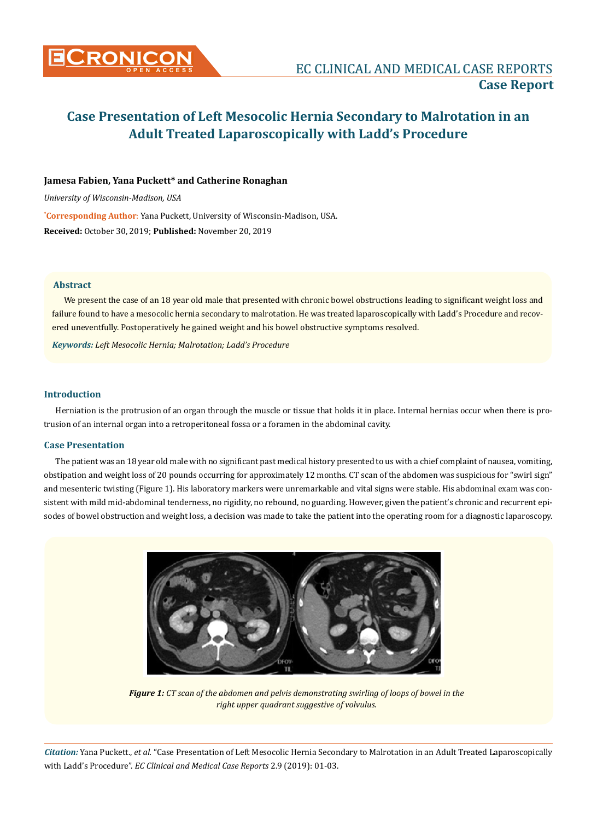

# **Case Presentation of Left Mesocolic Hernia Secondary to Malrotation in an Adult Treated Laparoscopically with Ladd's Procedure**

## **Jamesa Fabien, Yana Puckett\* and Catherine Ronaghan**

*University of Wisconsin-Madison, USA*

**\* Corresponding Author**: Yana Puckett, University of Wisconsin-Madison, USA. **Received:** October 30, 2019; **Published:** November 20, 2019

#### **Abstract**

We present the case of an 18 year old male that presented with chronic bowel obstructions leading to significant weight loss and failure found to have a mesocolic hernia secondary to malrotation. He was treated laparoscopically with Ladd's Procedure and recovered uneventfully. Postoperatively he gained weight and his bowel obstructive symptoms resolved.

*Keywords: Left Mesocolic Hernia; Malrotation; Ladd's Procedure*

#### **Introduction**

Herniation is the protrusion of an organ through the muscle or tissue that holds it in place. Internal hernias occur when there is protrusion of an internal organ into a retroperitoneal fossa or a foramen in the abdominal cavity.

#### **Case Presentation**

The patient was an 18 year old male with no significant past medical history presented to us with a chief complaint of nausea, vomiting, obstipation and weight loss of 20 pounds occurring for approximately 12 months. CT scan of the abdomen was suspicious for "swirl sign" and mesenteric twisting (Figure 1). His laboratory markers were unremarkable and vital signs were stable. His abdominal exam was consistent with mild mid-abdominal tenderness, no rigidity, no rebound, no guarding. However, given the patient's chronic and recurrent episodes of bowel obstruction and weight loss, a decision was made to take the patient into the operating room for a diagnostic laparoscopy.



*Figure 1: CT scan of the abdomen and pelvis demonstrating swirling of loops of bowel in the right upper quadrant suggestive of volvulus.*

*Citation:* Yana Puckett., *et al.* "Case Presentation of Left Mesocolic Hernia Secondary to Malrotation in an Adult Treated Laparoscopically with Ladd's Procedure". *EC Clinical and Medical Case Reports* 2.9 (2019): 01-03.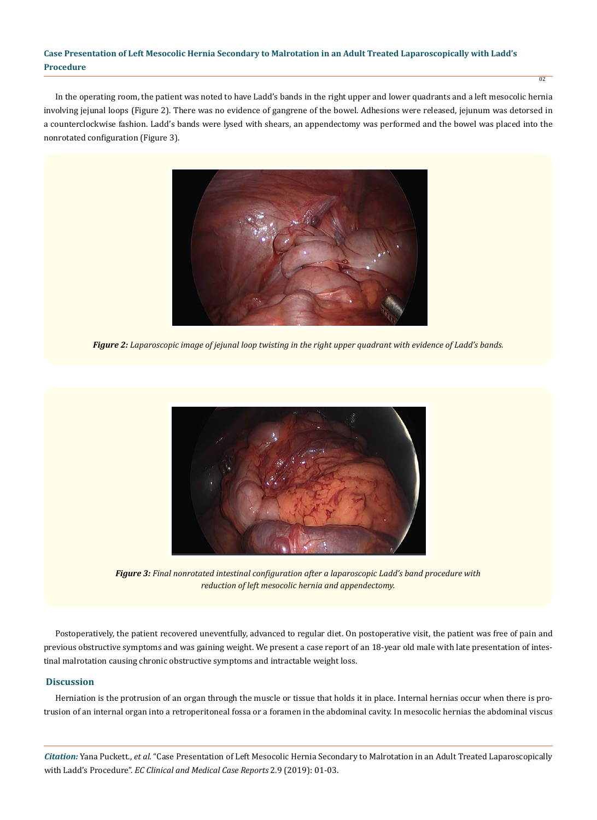## **Case Presentation of Left Mesocolic Hernia Secondary to Malrotation in an Adult Treated Laparoscopically with Ladd's Procedure**

In the operating room, the patient was noted to have Ladd's bands in the right upper and lower quadrants and a left mesocolic hernia involving jejunal loops (Figure 2). There was no evidence of gangrene of the bowel. Adhesions were released, jejunum was detorsed in a counterclockwise fashion. Ladd's bands were lysed with shears, an appendectomy was performed and the bowel was placed into the nonrotated configuration (Figure 3).

02



*Figure 2: Laparoscopic image of jejunal loop twisting in the right upper quadrant with evidence of Ladd's bands.*



*Figure 3: Final nonrotated intestinal configuration after a laparoscopic Ladd's band procedure with reduction of left mesocolic hernia and appendectomy.*

Postoperatively, the patient recovered uneventfully, advanced to regular diet. On postoperative visit, the patient was free of pain and previous obstructive symptoms and was gaining weight. We present a case report of an 18-year old male with late presentation of intestinal malrotation causing chronic obstructive symptoms and intractable weight loss.

## **Discussion**

Herniation is the protrusion of an organ through the muscle or tissue that holds it in place. Internal hernias occur when there is protrusion of an internal organ into a retroperitoneal fossa or a foramen in the abdominal cavity. In mesocolic hernias the abdominal viscus

*Citation:* Yana Puckett., *et al.* "Case Presentation of Left Mesocolic Hernia Secondary to Malrotation in an Adult Treated Laparoscopically with Ladd's Procedure". *EC Clinical and Medical Case Reports* 2.9 (2019): 01-03.